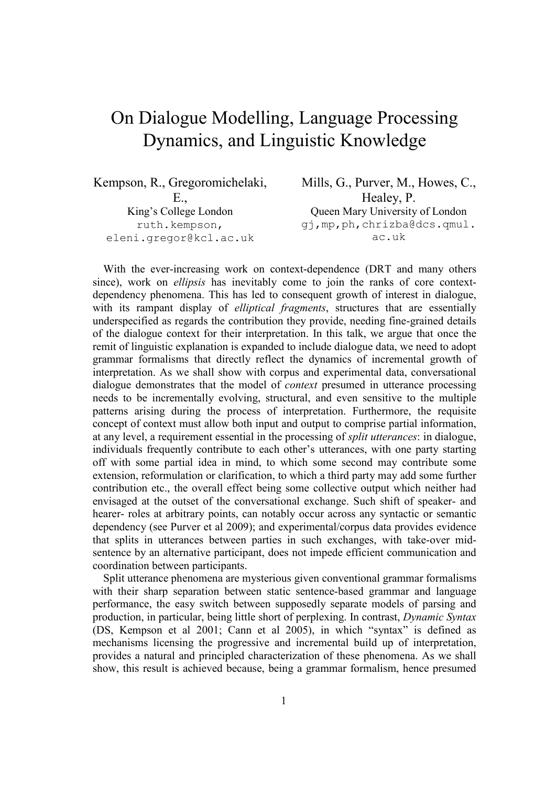## On Dialogue Modelling, Language Processing Dynamics, and Linguistic Knowledge

| Kempson, R., Gregoromichelaki, | Mills, G., Purver, M., Howes, C., |
|--------------------------------|-----------------------------------|
|                                | Healey, P.                        |
| King's College London          | Queen Mary University of London   |
| ruth.kempson,                  | gj, mp, ph, chrizba@dcs.qmul.     |
| eleni.gregor@kcl.ac.uk         | ac.uk                             |

With the ever-increasing work on context-dependence (DRT and many others since), work on *ellipsis* has inevitably come to join the ranks of core contextdependency phenomena. This has led to consequent growth of interest in dialogue, with its rampant display of *elliptical fragments*, structures that are essentially underspecified as regards the contribution they provide, needing fine-grained details of the dialogue context for their interpretation. In this talk, we argue that once the remit of linguistic explanation is expanded to include dialogue data, we need to adopt grammar formalisms that directly reflect the dynamics of incremental growth of interpretation. As we shall show with corpus and experimental data, conversational dialogue demonstrates that the model of *context* presumed in utterance processing needs to be incrementally evolving, structural, and even sensitive to the multiple patterns arising during the process of interpretation. Furthermore, the requisite concept of context must allow both input and output to comprise partial information, at any level, a requirement essential in the processing of *split utterances*: in dialogue, individuals frequently contribute to each other's utterances, with one party starting off with some partial idea in mind, to which some second may contribute some extension, reformulation or clarification, to which a third party may add some further contribution etc., the overall effect being some collective output which neither had envisaged at the outset of the conversational exchange. Such shift of speaker- and hearer- roles at arbitrary points, can notably occur across any syntactic or semantic dependency (see Purver et al 2009); and experimental/corpus data provides evidence that splits in utterances between parties in such exchanges, with take-over midsentence by an alternative participant, does not impede efficient communication and coordination between participants.

Split utterance phenomena are mysterious given conventional grammar formalisms with their sharp separation between static sentence-based grammar and language performance, the easy switch between supposedly separate models of parsing and production, in particular, being little short of perplexing. In contrast, *Dynamic Syntax*  (DS, Kempson et al 2001; Cann et al 2005), in which "syntax" is defined as mechanisms licensing the progressive and incremental build up of interpretation, provides a natural and principled characterization of these phenomena. As we shall show, this result is achieved because, being a grammar formalism, hence presumed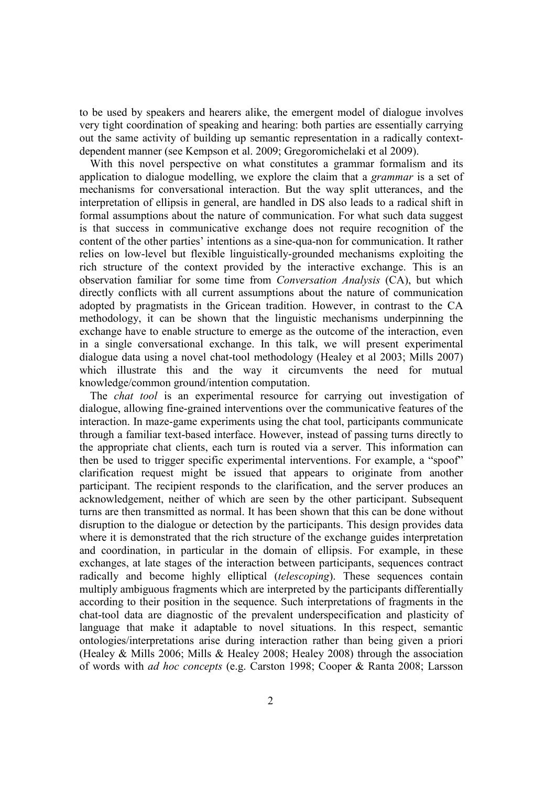to be used by speakers and hearers alike, the emergent model of dialogue involves very tight coordination of speaking and hearing: both parties are essentially carrying out the same activity of building up semantic representation in a radically contextdependent manner (see Kempson et al. 2009; Gregoromichelaki et al 2009).

With this novel perspective on what constitutes a grammar formalism and its application to dialogue modelling, we explore the claim that a *grammar* is a set of mechanisms for conversational interaction. But the way split utterances, and the interpretation of ellipsis in general, are handled in DS also leads to a radical shift in formal assumptions about the nature of communication. For what such data suggest is that success in communicative exchange does not require recognition of the content of the other parties' intentions as a sine-qua-non for communication. It rather relies on low-level but flexible linguistically-grounded mechanisms exploiting the rich structure of the context provided by the interactive exchange. This is an observation familiar for some time from *Conversation Analysis* (CA), but which directly conflicts with all current assumptions about the nature of communication adopted by pragmatists in the Gricean tradition. However, in contrast to the CA methodology, it can be shown that the linguistic mechanisms underpinning the exchange have to enable structure to emerge as the outcome of the interaction, even in a single conversational exchange. In this talk, we will present experimental dialogue data using a novel chat-tool methodology (Healey et al 2003; Mills 2007) which illustrate this and the way it circumvents the need for mutual knowledge/common ground/intention computation.

The *chat tool* is an experimental resource for carrying out investigation of dialogue, allowing fine-grained interventions over the communicative features of the interaction. In maze-game experiments using the chat tool, participants communicate through a familiar text-based interface. However, instead of passing turns directly to the appropriate chat clients, each turn is routed via a server. This information can then be used to trigger specific experimental interventions. For example, a "spoof" clarification request might be issued that appears to originate from another participant. The recipient responds to the clarification, and the server produces an acknowledgement, neither of which are seen by the other participant. Subsequent turns are then transmitted as normal. It has been shown that this can be done without disruption to the dialogue or detection by the participants. This design provides data where it is demonstrated that the rich structure of the exchange guides interpretation and coordination, in particular in the domain of ellipsis. For example, in these exchanges, at late stages of the interaction between participants, sequences contract radically and become highly elliptical (*telescoping*). These sequences contain multiply ambiguous fragments which are interpreted by the participants differentially according to their position in the sequence. Such interpretations of fragments in the chat-tool data are diagnostic of the prevalent underspecification and plasticity of language that make it adaptable to novel situations. In this respect, semantic ontologies/interpretations arise during interaction rather than being given a priori (Healey & Mills 2006; Mills & Healey 2008; Healey 2008) through the association of words with *ad hoc concepts* (e.g. Carston 1998; Cooper & Ranta 2008; Larsson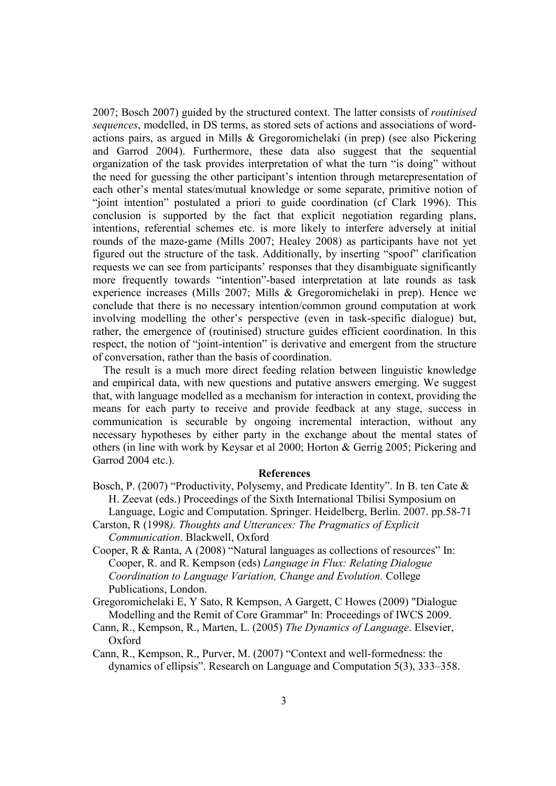2007; Bosch 2007) guided by the structured context. The latter consists of *routinised sequences*, modelled, in DS terms, as stored sets of actions and associations of wordactions pairs, as argued in Mills & Gregoromichelaki (in prep) (see also Pickering and Garrod 2004). Furthermore, these data also suggest that the sequential organization of the task provides interpretation of what the turn "is doing" without the need for guessing the other participant's intention through metarepresentation of each other's mental states/mutual knowledge or some separate, primitive notion of "joint intention" postulated a priori to guide coordination (cf Clark 1996). This conclusion is supported by the fact that explicit negotiation regarding plans, intentions, referential schemes etc. is more likely to interfere adversely at initial rounds of the maze-game (Mills 2007; Healey 2008) as participants have not yet figured out the structure of the task. Additionally, by inserting "spoof" clarification requests we can see from participants' responses that they disambiguate significantly more frequently towards "intention"-based interpretation at late rounds as task experience increases (Mills 2007; Mills & Gregoromichelaki in prep). Hence we conclude that there is no necessary intention/common ground computation at work involving modelling the other's perspective (even in task-specific dialogue) but, rather, the emergence of (routinised) structure guides efficient coordination. In this respect, the notion of "joint-intention" is derivative and emergent from the structure of conversation, rather than the basis of coordination.

The result is a much more direct feeding relation between linguistic knowledge and empirical data, with new questions and putative answers emerging. We suggest that, with language modelled as a mechanism for interaction in context, providing the means for each party to receive and provide feedback at any stage, success in communication is securable by ongoing incremental interaction, without any necessary hypotheses by either party in the exchange about the mental states of others (in line with work by Keysar et al 2000; Horton & Gerrig 2005; Pickering and Garrod 2004 etc.).

## **References**

- Bosch, P. (2007) "Productivity, Polysemy, and Predicate Identity". In B. ten Cate & H. Zeevat (eds.) Proceedings of the Sixth International Tbilisi Symposium on Language, Logic and Computation. Springer. Heidelberg, Berlin. 2007. pp.58-71
- Carston, R (1998*). Thoughts and Utterances: The Pragmatics of Explicit Communication*. Blackwell, Oxford
- Cooper, R & Ranta, A (2008) "Natural languages as collections of resources" In: Cooper, R. and R. Kempson (eds) *Language in Flux: Relating Dialogue Coordination to Language Variation, Change and Evolution.* College Publications, London.
- Gregoromichelaki E, Y Sato, R Kempson, A Gargett, C Howes (2009) "Dialogue Modelling and the Remit of Core Grammar" In: Proceedings of IWCS 2009.
- Cann, R., Kempson, R., Marten, L. (2005) *The Dynamics of Language*. Elsevier, Oxford
- Cann, R., Kempson, R., Purver, M. (2007) "Context and well-formedness: the dynamics of ellipsis". Research on Language and Computation 5(3), 333–358.